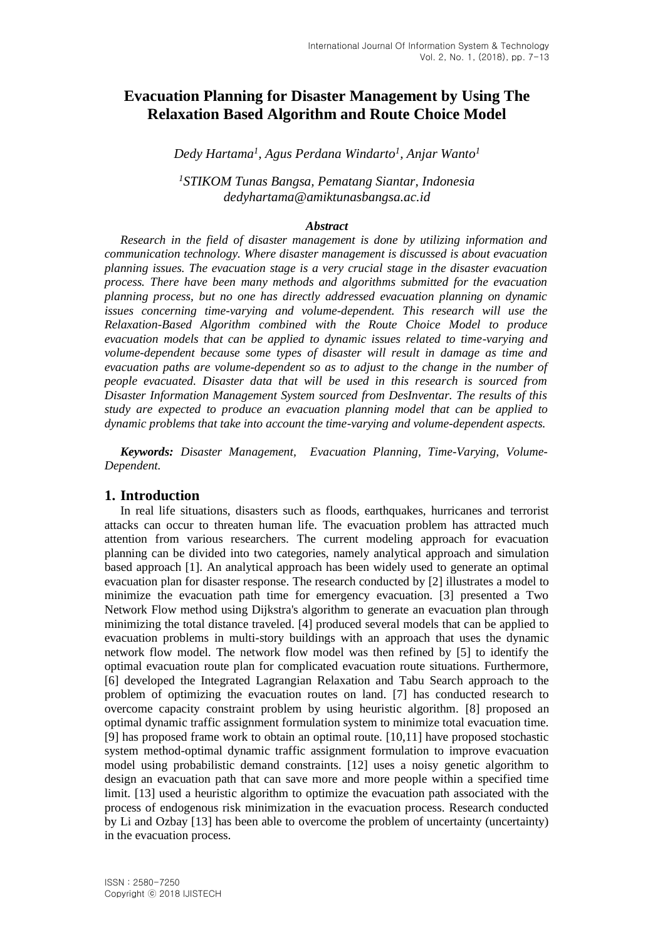# **Evacuation Planning for Disaster Management by Using The Relaxation Based Algorithm and Route Choice Model**

*Dedy Hartama<sup>1</sup> , Agus Perdana Windarto<sup>1</sup> , Anjar Wanto 1*

*<sup>1</sup>STIKOM Tunas Bangsa, Pematang Siantar, Indonesia dedyhartama@amiktunasbangsa.ac.id*

### *Abstract*

*Research in the field of disaster management is done by utilizing information and communication technology. Where disaster management is discussed is about evacuation planning issues. The evacuation stage is a very crucial stage in the disaster evacuation process. There have been many methods and algorithms submitted for the evacuation planning process, but no one has directly addressed evacuation planning on dynamic issues concerning time-varying and volume-dependent. This research will use the Relaxation-Based Algorithm combined with the Route Choice Model to produce evacuation models that can be applied to dynamic issues related to time-varying and volume-dependent because some types of disaster will result in damage as time and evacuation paths are volume-dependent so as to adjust to the change in the number of people evacuated. Disaster data that will be used in this research is sourced from Disaster Information Management System sourced from DesInventar. The results of this study are expected to produce an evacuation planning model that can be applied to dynamic problems that take into account the time-varying and volume-dependent aspects.*

*Keywords: Disaster Management, Evacuation Planning, Time-Varying, Volume-Dependent.*

### **1. Introduction**

In real life situations, disasters such as floods, earthquakes, hurricanes and terrorist attacks can occur to threaten human life. The evacuation problem has attracted much attention from various researchers. The current modeling approach for evacuation planning can be divided into two categories, namely analytical approach and simulation based approach [1]. An analytical approach has been widely used to generate an optimal evacuation plan for disaster response. The research conducted by [2] illustrates a model to minimize the evacuation path time for emergency evacuation. [3] presented a Two Network Flow method using Dijkstra's algorithm to generate an evacuation plan through minimizing the total distance traveled. [4] produced several models that can be applied to evacuation problems in multi-story buildings with an approach that uses the dynamic network flow model. The network flow model was then refined by [5] to identify the optimal evacuation route plan for complicated evacuation route situations. Furthermore, [6] developed the Integrated Lagrangian Relaxation and Tabu Search approach to the problem of optimizing the evacuation routes on land. [7] has conducted research to overcome capacity constraint problem by using heuristic algorithm. [8] proposed an optimal dynamic traffic assignment formulation system to minimize total evacuation time. [9] has proposed frame work to obtain an optimal route. [10,11] have proposed stochastic system method-optimal dynamic traffic assignment formulation to improve evacuation model using probabilistic demand constraints. [12] uses a noisy genetic algorithm to design an evacuation path that can save more and more people within a specified time limit. [13] used a heuristic algorithm to optimize the evacuation path associated with the process of endogenous risk minimization in the evacuation process. Research conducted by Li and Ozbay [13] has been able to overcome the problem of uncertainty (uncertainty) in the evacuation process.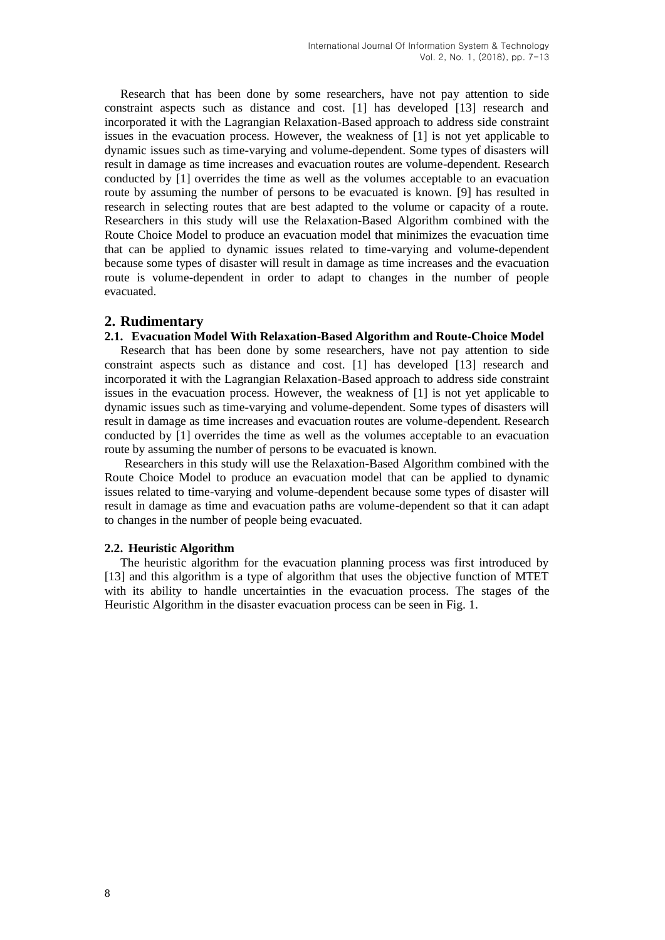Research that has been done by some researchers, have not pay attention to side constraint aspects such as distance and cost. [1] has developed [13] research and incorporated it with the Lagrangian Relaxation-Based approach to address side constraint issues in the evacuation process. However, the weakness of [1] is not yet applicable to dynamic issues such as time-varying and volume-dependent. Some types of disasters will result in damage as time increases and evacuation routes are volume-dependent. Research conducted by [1] overrides the time as well as the volumes acceptable to an evacuation route by assuming the number of persons to be evacuated is known. [9] has resulted in research in selecting routes that are best adapted to the volume or capacity of a route. Researchers in this study will use the Relaxation-Based Algorithm combined with the Route Choice Model to produce an evacuation model that minimizes the evacuation time that can be applied to dynamic issues related to time-varying and volume-dependent because some types of disaster will result in damage as time increases and the evacuation route is volume-dependent in order to adapt to changes in the number of people evacuated.

## **2. Rudimentary**

## **2.1. Evacuation Model With Relaxation-Based Algorithm and Route-Choice Model**

Research that has been done by some researchers, have not pay attention to side constraint aspects such as distance and cost. [1] has developed [13] research and incorporated it with the Lagrangian Relaxation-Based approach to address side constraint issues in the evacuation process. However, the weakness of [1] is not yet applicable to dynamic issues such as time-varying and volume-dependent. Some types of disasters will result in damage as time increases and evacuation routes are volume-dependent. Research conducted by [1] overrides the time as well as the volumes acceptable to an evacuation route by assuming the number of persons to be evacuated is known.

Researchers in this study will use the Relaxation-Based Algorithm combined with the Route Choice Model to produce an evacuation model that can be applied to dynamic issues related to time-varying and volume-dependent because some types of disaster will result in damage as time and evacuation paths are volume-dependent so that it can adapt to changes in the number of people being evacuated.

### **2.2. Heuristic Algorithm**

The heuristic algorithm for the evacuation planning process was first introduced by [13] and this algorithm is a type of algorithm that uses the objective function of MTET with its ability to handle uncertainties in the evacuation process. The stages of the Heuristic Algorithm in the disaster evacuation process can be seen in Fig. 1.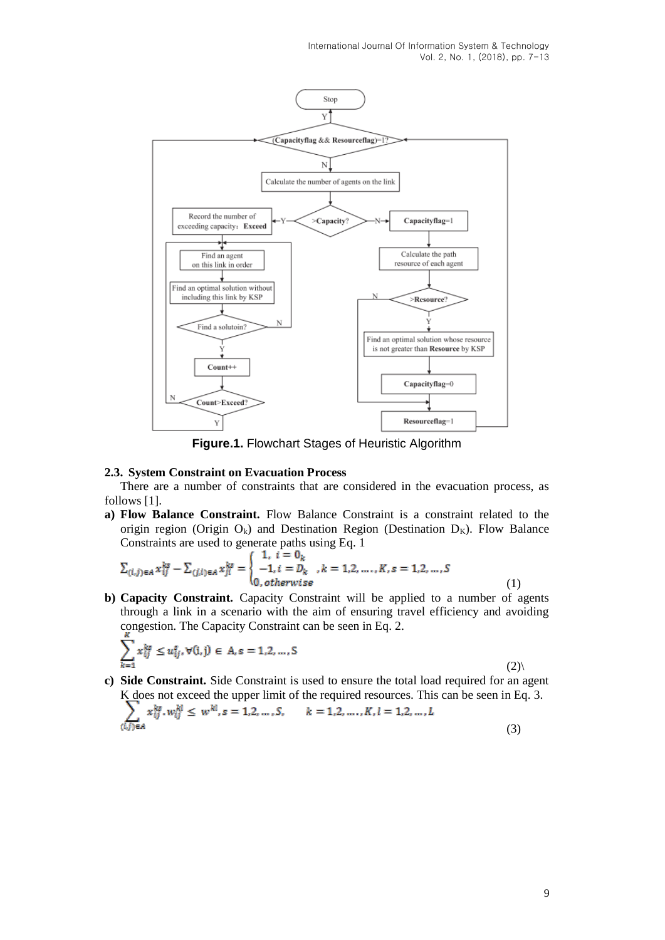International Journal Of Information System & Technology Vol. 2, No. 1, (2018), pp. 7-13



**Figure.1.** Flowchart Stages of Heuristic Algorithm

#### **2.3. System Constraint on Evacuation Process**

There are a number of constraints that are considered in the evacuation process, as follows [1].

**a) Flow Balance Constraint.** Flow Balance Constraint is a constraint related to the origin region (Origin  $O_k$ ) and Destination Region (Destination  $D_k$ ). Flow Balance Constraints are used to generate paths using Eq. 1

$$
\sum_{(i,j)\in A} x_{ij}^{ks} - \sum_{(j,i)\in A} x_{ji}^{ks} = \begin{cases} 1, \ i = 0_k \\ -1, i = D_k, k = 1,2,\dots,K, s = 1,2,\dots,S \\ 0, otherwise \end{cases}
$$
(1)

**b) Capacity Constraint.** Capacity Constraint will be applied to a number of agents through a link in a scenario with the aim of ensuring travel efficiency and avoiding congestion. The Capacity Constraint can be seen in Eq. 2.

$$
\sum_{k=1} x_{ij}^{ks} \le u_{ij}^s, \forall (i, j) \in A, s = 1, 2, \dots, S
$$

 $(2)$ 

**c) Side Constraint.** Side Constraint is used to ensure the total load required for an agent K does not exceed the upper limit of the required resources. This can be seen in Eq. 3.  $x^{k_2}, w^{k_1} < w^{k_1}, s = 1, 2, ..., S, \quad k = 1, 2,$  $K, l = 1.2$  $\mathbf{r}$ 

$$
\sum_{(i,j)\in A} x_{ij} \cdot w_{ij} = w_{i,0} - 1, z, w_{i,0}, \qquad w = 1, z, w_{i,1}, w_{i,0} - 1, z, w_{i,0}
$$
 (3)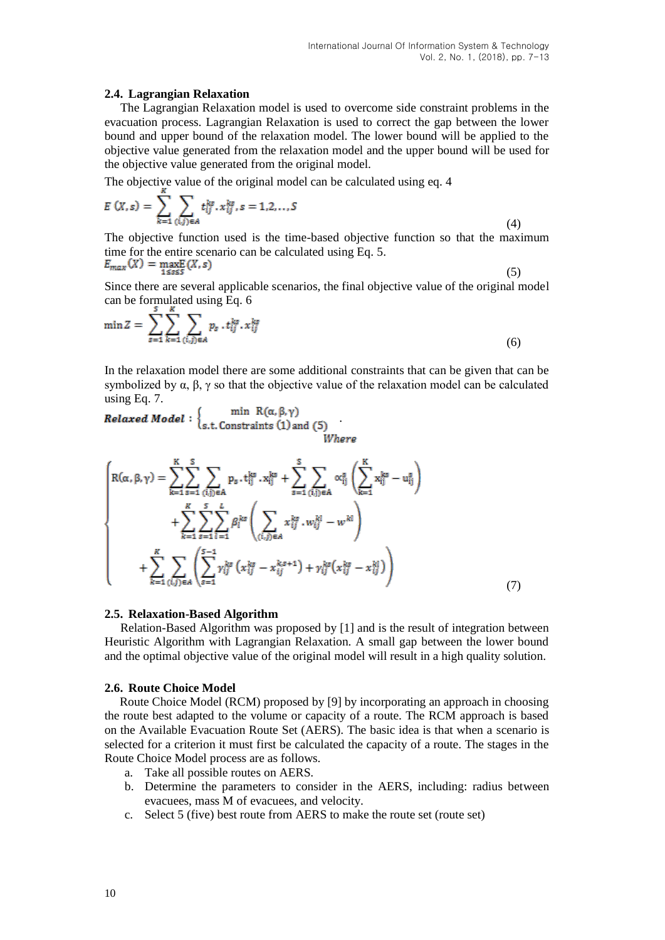### **2.4. Lagrangian Relaxation**

The Lagrangian Relaxation model is used to overcome side constraint problems in the evacuation process. Lagrangian Relaxation is used to correct the gap between the lower bound and upper bound of the relaxation model. The lower bound will be applied to the objective value generated from the relaxation model and the upper bound will be used for the objective value generated from the original model.

The objective value of the original model can be calculated using eq. 4

$$
E(X,s) = \sum_{k=1} \sum_{(i,j)\in A} t_{ij}^{ks} \cdot x_{ij}^{ks}, s = 1,2,...,S
$$
 (4)

The objective function used is the time-based objective function so that the maximum time for the entire scenario can be calculated using Eq. 5. E

$$
F_{max}(X) = \max_{1 \le s \le S} (X, s) \tag{5}
$$

Since there are several applicable scenarios, the final objective value of the original model can be formulated using Eq. 6

$$
\min Z = \sum_{s=1}^{7} \sum_{k=1}^{8} \sum_{(i,j)\in A} p_s \cdot t_{ij}^{ks} \cdot x_{ij}^{ks}
$$
(6)

In the relaxation model there are some additional constraints that can be given that can be symbolized by  $\alpha$ ,  $\beta$ ,  $\gamma$  so that the objective value of the relaxation model can be calculated using Eq. 7.

USING Eq. *1*.<br> **Relaxed Model** :  $\begin{cases} \min \ R(\alpha, \beta, \gamma) \\ \text{s.t. Constraints (1) and (5)} \end{cases}$ 

$$
\begin{cases}\nR(\alpha, \beta, \gamma) = \sum_{k=1}^{K} \sum_{s=1}^{S} \sum_{(i,j) \in A} p_s \cdot t_{ij}^{ks} \cdot x_{ij}^{ks} + \sum_{s=1}^{S} \sum_{(i,j) \in A} \alpha_{ij}^s \left( \sum_{k=1}^{K} x_{ij}^{ks} - u_{ij}^s \right) \\
+ \sum_{k=1}^{K} \sum_{s=1}^{S} \sum_{l=1}^{L} \beta_l^{ks} \left( \sum_{(i,j) \in A} x_{ij}^{ks} \cdot w_{ij}^{kl} - w^{kl} \right) \\
+ \sum_{k=1}^{K} \sum_{(i,j) \in A} \left( \sum_{s=1}^{S-1} \gamma_{ij}^{ks} \left( x_{ij}^{ks} - x_{ij}^{k,s+1} \right) + \gamma_{ij}^{ks} \left( x_{ij}^{ks} - x_{ij}^{kl} \right) \right)\n\end{cases} (7)
$$

#### **2.5. Relaxation-Based Algorithm**

Relation-Based Algorithm was proposed by [1] and is the result of integration between Heuristic Algorithm with Lagrangian Relaxation. A small gap between the lower bound and the optimal objective value of the original model will result in a high quality solution.

#### **2.6. Route Choice Model**

Route Choice Model (RCM) proposed by [9] by incorporating an approach in choosing the route best adapted to the volume or capacity of a route. The RCM approach is based on the Available Evacuation Route Set (AERS). The basic idea is that when a scenario is selected for a criterion it must first be calculated the capacity of a route. The stages in the Route Choice Model process are as follows.

- a. Take all possible routes on AERS.
- b. Determine the parameters to consider in the AERS, including: radius between evacuees, mass M of evacuees, and velocity.
- c. Select 5 (five) best route from AERS to make the route set (route set)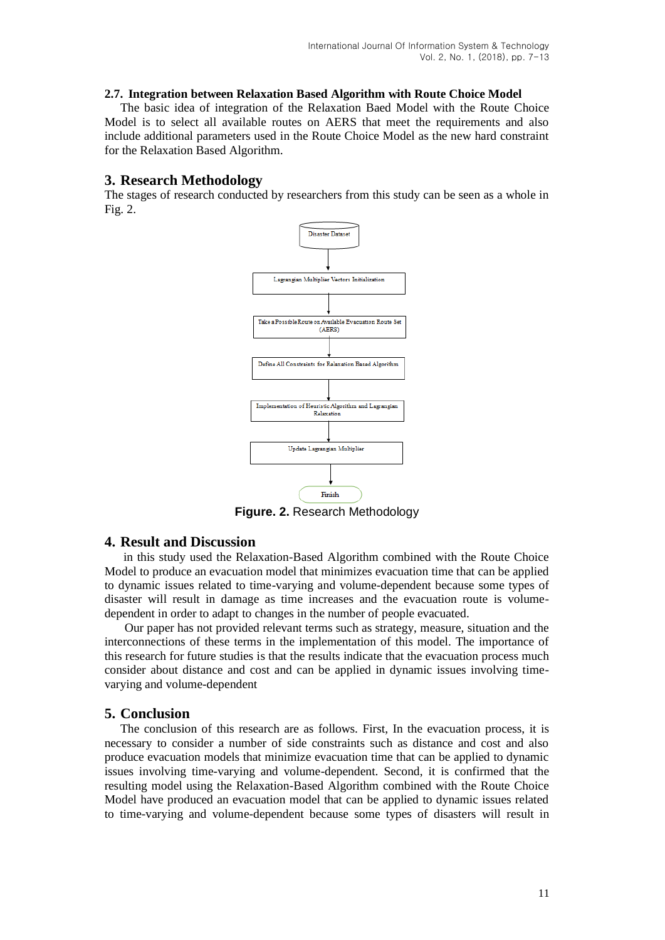### **2.7. Integration between Relaxation Based Algorithm with Route Choice Model**

The basic idea of integration of the Relaxation Baed Model with the Route Choice Model is to select all available routes on AERS that meet the requirements and also include additional parameters used in the Route Choice Model as the new hard constraint for the Relaxation Based Algorithm.

## **3. Research Methodology**

The stages of research conducted by researchers from this study can be seen as a whole in Fig. 2.



**Figure. 2.** Research Methodology

## **4. Result and Discussion**

in this study used the Relaxation-Based Algorithm combined with the Route Choice Model to produce an evacuation model that minimizes evacuation time that can be applied to dynamic issues related to time-varying and volume-dependent because some types of disaster will result in damage as time increases and the evacuation route is volumedependent in order to adapt to changes in the number of people evacuated.

Our paper has not provided relevant terms such as strategy, measure, situation and the interconnections of these terms in the implementation of this model. The importance of this research for future studies is that the results indicate that the evacuation process much consider about distance and cost and can be applied in dynamic issues involving timevarying and volume-dependent

## **5. Conclusion**

The conclusion of this research are as follows. First, In the evacuation process, it is necessary to consider a number of side constraints such as distance and cost and also produce evacuation models that minimize evacuation time that can be applied to dynamic issues involving time-varying and volume-dependent. Second, it is confirmed that the resulting model using the Relaxation-Based Algorithm combined with the Route Choice Model have produced an evacuation model that can be applied to dynamic issues related to time-varying and volume-dependent because some types of disasters will result in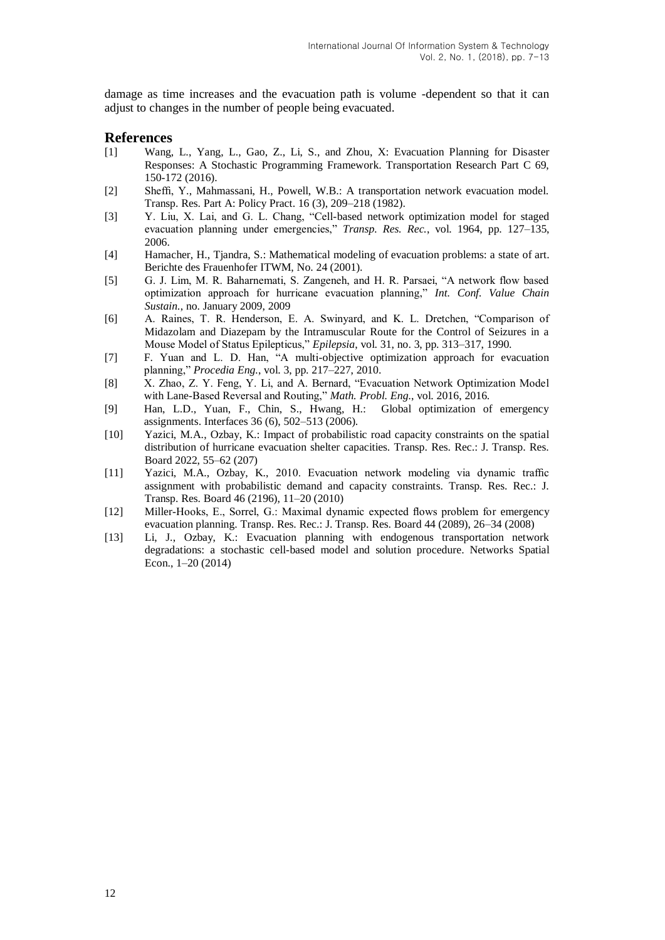damage as time increases and the evacuation path is volume -dependent so that it can adjust to changes in the number of people being evacuated.

### **References**

- [1] Wang, L., Yang, L., Gao, Z., Li, S., and Zhou, X: Evacuation Planning for Disaster Responses: A Stochastic Programming Framework. Transportation Research Part C 69, 150-172 (2016).
- [2] Sheffi, Y., Mahmassani, H., Powell, W.B.: A transportation network evacuation model. Transp. Res. Part A: Policy Pract. 16 (3), 209–218 (1982).
- [3] Y. Liu, X. Lai, and G. L. Chang, "Cell-based network optimization model for staged evacuation planning under emergencies," *Transp. Res. Rec.*, vol. 1964, pp. 127–135, 2006.
- [4] Hamacher, H., Tjandra, S.: Mathematical modeling of evacuation problems: a state of art. Berichte des Frauenhofer ITWM, No. 24 (2001).
- [5] G. J. Lim, M. R. Baharnemati, S. Zangeneh, and H. R. Parsaei, "A network flow based optimization approach for hurricane evacuation planning," *Int. Conf. Value Chain Sustain.*, no. January 2009, 2009
- [6] A. Raines, T. R. Henderson, E. A. Swinyard, and K. L. Dretchen, "Comparison of Midazolam and Diazepam by the Intramuscular Route for the Control of Seizures in a Mouse Model of Status Epilepticus," *Epilepsia*, vol. 31, no. 3, pp. 313–317, 1990.
- [7] F. Yuan and L. D. Han, "A multi-objective optimization approach for evacuation planning," *Procedia Eng.*, vol. 3, pp. 217–227, 2010.
- [8] X. Zhao, Z. Y. Feng, Y. Li, and A. Bernard, "Evacuation Network Optimization Model with Lane-Based Reversal and Routing," *Math. Probl. Eng.*, vol. 2016, 2016.
- [9] Han, L.D., Yuan, F., Chin, S., Hwang, H.: Global optimization of emergency assignments. Interfaces 36 (6), 502–513 (2006).
- [10] Yazici, M.A., Ozbay, K.: Impact of probabilistic road capacity constraints on the spatial distribution of hurricane evacuation shelter capacities. Transp. Res. Rec.: J. Transp. Res. Board 2022, 55–62 (207)
- [11] Yazici, M.A., Ozbay, K., 2010. Evacuation network modeling via dynamic traffic assignment with probabilistic demand and capacity constraints. Transp. Res. Rec.: J. Transp. Res. Board 46 (2196), 11–20 (2010)
- [12] Miller-Hooks, E., Sorrel, G.: Maximal dynamic expected flows problem for emergency evacuation planning. Transp. Res. Rec.: J. Transp. Res. Board 44 (2089), 26–34 (2008)
- [13] Li, J., Ozbay, K.: Evacuation planning with endogenous transportation network degradations: a stochastic cell-based model and solution procedure. Networks Spatial Econ., 1–20 (2014)